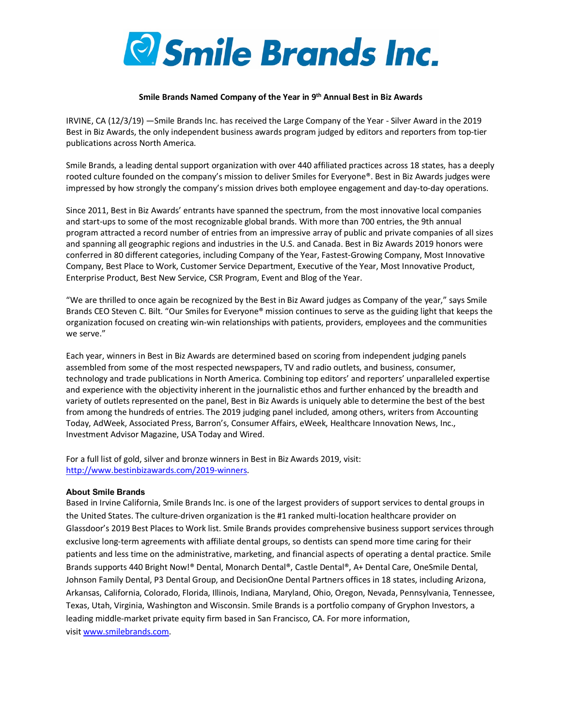

## **Smile Brands Named Company of the Year in 9th Annual Best in Biz Awards**

IRVINE, CA (12/3/19) —Smile Brands Inc. has received the Large Company of the Year - Silver Award in the 2019 Best in Biz Awards, the only independent business awards program judged by editors and reporters from top-tier publications across North America.

Smile Brands, a leading dental support organization with over 440 affiliated practices across 18 states, has a deeply rooted culture founded on the company's mission to deliver Smiles for Everyone®. Best in Biz Awards judges were impressed by how strongly the company's mission drives both employee engagement and day-to-day operations.

Since 2011, Best in Biz Awards' entrants have spanned the spectrum, from the most innovative local companies and start-ups to some of the most recognizable global brands. With more than 700 entries, the 9th annual program attracted a record number of entries from an impressive array of public and private companies of all sizes and spanning all geographic regions and industries in the U.S. and Canada. Best in Biz Awards 2019 honors were conferred in 80 different categories, including Company of the Year, Fastest-Growing Company, Most Innovative Company, Best Place to Work, Customer Service Department, Executive of the Year, Most Innovative Product, Enterprise Product, Best New Service, CSR Program, Event and Blog of the Year.

"We are thrilled to once again be recognized by the Best in Biz Award judges as Company of the year," says Smile Brands CEO Steven C. Bilt. "Our Smiles for Everyone® mission continues to serve as the guiding light that keeps the organization focused on creating win-win relationships with patients, providers, employees and the communities we serve."

Each year, winners in Best in Biz Awards are determined based on scoring from independent judging panels assembled from some of the most respected newspapers, TV and radio outlets, and business, consumer, technology and trade publications in North America. Combining top editors' and reporters' unparalleled expertise and experience with the objectivity inherent in the journalistic ethos and further enhanced by the breadth and variety of outlets represented on the panel, Best in Biz Awards is uniquely able to determine the best of the best from among the hundreds of entries. The 2019 judging panel included, among others, writers from Accounting Today, AdWeek, Associated Press, Barron's, Consumer Affairs, eWeek, Healthcare Innovation News, Inc., Investment Advisor Magazine, USA Today and Wired.

For a full list of gold, silver and bronze winners in Best in Biz Awards 2019, visit: http://www.bestinbizawards.com/2019-winners.

## **About Smile Brands**

Based in Irvine California, Smile Brands Inc. is one of the largest providers of support services to dental groups in the United States. The culture-driven organization is the #1 ranked multi-location healthcare provider on Glassdoor's 2019 Best Places to Work list. Smile Brands provides comprehensive business support services through exclusive long-term agreements with affiliate dental groups, so dentists can spend more time caring for their patients and less time on the administrative, marketing, and financial aspects of operating a dental practice. Smile Brands supports 440 Bright Now!® Dental, Monarch Dental®, Castle Dental®, A+ Dental Care, OneSmile Dental, Johnson Family Dental, P3 Dental Group, and DecisionOne Dental Partners offices in 18 states, including Arizona, Arkansas, California, Colorado, Florida, Illinois, Indiana, Maryland, Ohio, Oregon, Nevada, Pennsylvania, Tennessee, Texas, Utah, Virginia, Washington and Wisconsin. Smile Brands is a portfolio company of Gryphon Investors, a leading middle-market private equity firm based in San Francisco, CA. For more information, visit www.smilebrands.com.